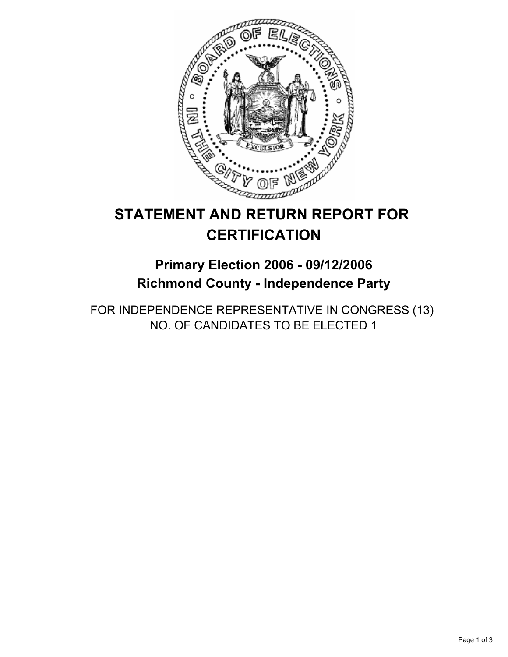

# **STATEMENT AND RETURN REPORT FOR CERTIFICATION**

**Primary Election 2006 - 09/12/2006 Richmond County - Independence Party**

FOR INDEPENDENCE REPRESENTATIVE IN CONGRESS (13) NO. OF CANDIDATES TO BE ELECTED 1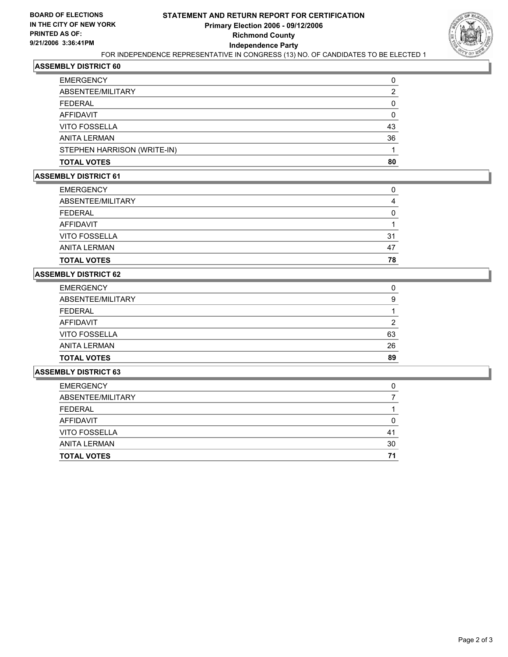

# **ASSEMBLY DISTRICT 60**

| EMERGENCY                   |    |
|-----------------------------|----|
| ABSENTEE/MILITARY           |    |
| FEDERAL                     |    |
| AFFIDAVIT                   |    |
| VITO FOSSELLA               | 43 |
| ANITA LERMAN                | 36 |
| STEPHEN HARRISON (WRITE-IN) |    |
| TOTAL VOTES                 | 80 |

## **ASSEMBLY DISTRICT 61**

| <b>TOTAL VOTES</b>   | 78 |
|----------------------|----|
| <b>ANITA LERMAN</b>  | 47 |
| <b>VITO FOSSELLA</b> | 31 |
| <b>AFFIDAVIT</b>     |    |
| <b>FEDERAL</b>       |    |
| ABSENTEE/MILITARY    |    |
| <b>EMERGENCY</b>     |    |

#### **ASSEMBLY DISTRICT 62**

| <b>EMERGENCY</b>     |    |
|----------------------|----|
| ABSENTEE/MILITARY    | 9  |
| <b>FEDERAL</b>       |    |
| <b>AFFIDAVIT</b>     |    |
| <b>VITO FOSSELLA</b> | 63 |
| <b>ANITA LERMAN</b>  | 26 |
| <b>TOTAL VOTES</b>   | 89 |

#### **ASSEMBLY DISTRICT 63**

| 41 |
|----|
| 30 |
| 71 |
|    |